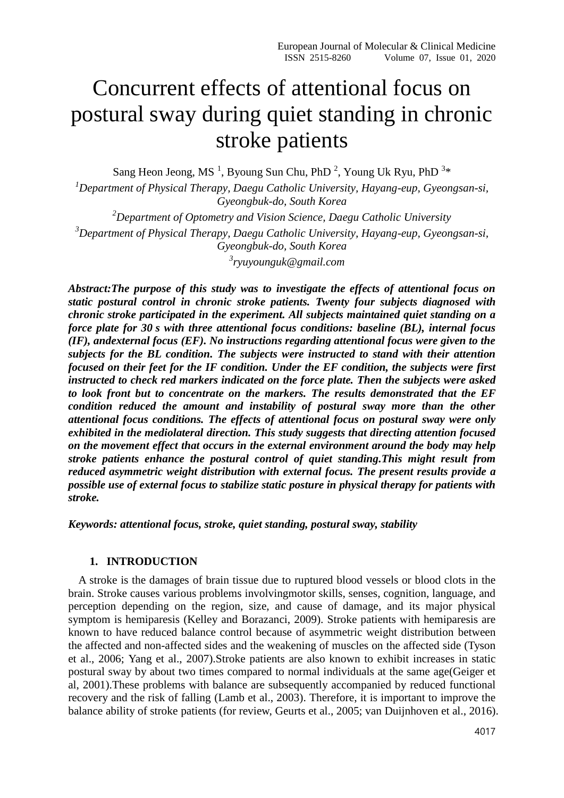# Concurrent effects of attentional focus on postural sway during quiet standing in chronic stroke patients

Sang Heon Jeong, MS<sup>1</sup>, Byoung Sun Chu, PhD<sup>2</sup>, Young Uk Ryu, PhD<sup>3\*</sup>

*<sup>1</sup>Department of Physical Therapy, Daegu Catholic University, Hayang-eup, Gyeongsan-si, Gyeongbuk-do, South Korea*

*Department of Optometry and Vision Science, Daegu Catholic University Department of Physical Therapy, Daegu Catholic University, Hayang-eup, Gyeongsan-si, Gyeongbuk-do, South Korea ryuyounguk@gmail.com*

*Abstract:The purpose of this study was to investigate the effects of attentional focus on static postural control in chronic stroke patients. Twenty four subjects diagnosed with chronic stroke participated in the experiment. All subjects maintained quiet standing on a force plate for 30 s with three attentional focus conditions: baseline (BL), internal focus (IF), andexternal focus (EF). No instructions regarding attentional focus were given to the subjects for the BL condition. The subjects were instructed to stand with their attention focused on their feet for the IF condition. Under the EF condition, the subjects were first instructed to check red markers indicated on the force plate. Then the subjects were asked to look front but to concentrate on the markers. The results demonstrated that the EF condition reduced the amount and instability of postural sway more than the other attentional focus conditions. The effects of attentional focus on postural sway were only exhibited in the mediolateral direction. This study suggests that directing attention focused on the movement effect that occurs in the external environment around the body may help stroke patients enhance the postural control of quiet standing.This might result from reduced asymmetric weight distribution with external focus. The present results provide a possible use of external focus to stabilize static posture in physical therapy for patients with stroke.*

*Keywords: attentional focus, stroke, quiet standing, postural sway, stability*

## **1. INTRODUCTION**

A stroke is the damages of brain tissue due to ruptured blood vessels or blood clots in the brain. Stroke causes various problems involvingmotor skills, senses, cognition, language, and perception depending on the region, size, and cause of damage, and its major physical symptom is hemiparesis (Kelley and Borazanci, 2009). Stroke patients with hemiparesis are known to have reduced balance control because of asymmetric weight distribution between the affected and non-affected sides and the weakening of muscles on the affected side (Tyson et al., 2006; Yang et al., 2007).Stroke patients are also known to exhibit increases in static postural sway by about two times compared to normal individuals at the same age(Geiger et al, 2001).These problems with balance are subsequently accompanied by reduced functional recovery and the risk of falling (Lamb et al., 2003). Therefore, it is important to improve the balance ability of stroke patients (for review, Geurts et al., 2005; van Duijnhoven et al., 2016).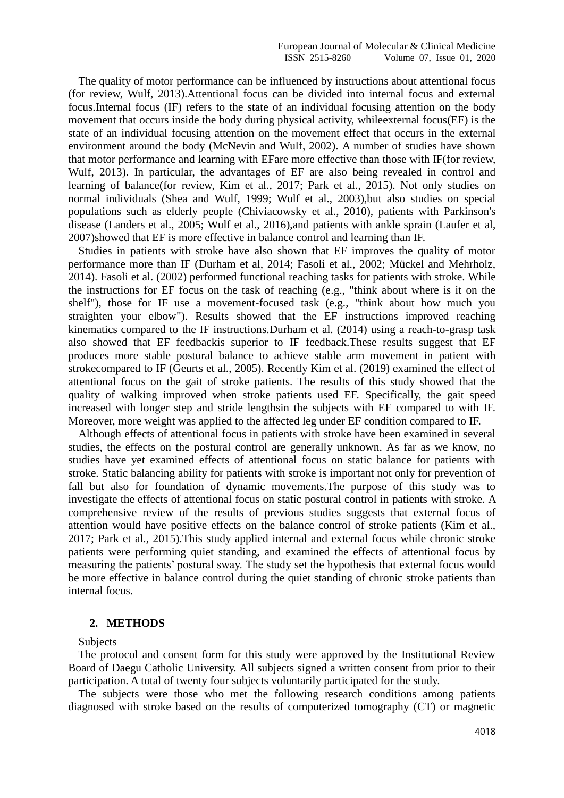The quality of motor performance can be influenced by instructions about attentional focus (for review, Wulf, 2013).Attentional focus can be divided into internal focus and external focus.Internal focus (IF) refers to the state of an individual focusing attention on the body movement that occurs inside the body during physical activity, whileexternal focus(EF) is the state of an individual focusing attention on the movement effect that occurs in the external environment around the body (McNevin and Wulf, 2002). A number of studies have shown that motor performance and learning with EFare more effective than those with IF(for review, Wulf, 2013). In particular, the advantages of EF are also being revealed in control and learning of balance(for review, Kim et al., 2017; Park et al., 2015). Not only studies on normal individuals (Shea and Wulf, 1999; Wulf et al., 2003),but also studies on special populations such as elderly people (Chiviacowsky et al., 2010), patients with Parkinson's disease (Landers et al., 2005; Wulf et al., 2016),and patients with ankle sprain (Laufer et al, 2007)showed that EF is more effective in balance control and learning than IF.

Studies in patients with stroke have also shown that EF improves the quality of motor performance more than IF (Durham et al, 2014; Fasoli et al., 2002; Mückel and Mehrholz, 2014). Fasoli et al. (2002) performed functional reaching tasks for patients with stroke. While the instructions for EF focus on the task of reaching (e.g., "think about where is it on the shelf"), those for IF use a movement-focused task (e.g., "think about how much you straighten your elbow"). Results showed that the EF instructions improved reaching kinematics compared to the IF instructions.Durham et al. (2014) using a reach-to-grasp task also showed that EF feedbackis superior to IF feedback.These results suggest that EF produces more stable postural balance to achieve stable arm movement in patient with strokecompared to IF (Geurts et al., 2005). Recently Kim et al. (2019) examined the effect of attentional focus on the gait of stroke patients. The results of this study showed that the quality of walking improved when stroke patients used EF. Specifically, the gait speed increased with longer step and stride lengthsin the subjects with EF compared to with IF. Moreover, more weight was applied to the affected leg under EF condition compared to IF.

Although effects of attentional focus in patients with stroke have been examined in several studies, the effects on the postural control are generally unknown. As far as we know, no studies have yet examined effects of attentional focus on static balance for patients with stroke. Static balancing ability for patients with stroke is important not only for prevention of fall but also for foundation of dynamic movements.The purpose of this study was to investigate the effects of attentional focus on static postural control in patients with stroke. A comprehensive review of the results of previous studies suggests that external focus of attention would have positive effects on the balance control of stroke patients (Kim et al., 2017; Park et al., 2015).This study applied internal and external focus while chronic stroke patients were performing quiet standing, and examined the effects of attentional focus by measuring the patients' postural sway. The study set the hypothesis that external focus would be more effective in balance control during the quiet standing of chronic stroke patients than internal focus.

#### **2. METHODS**

## Subjects

The protocol and consent form for this study were approved by the Institutional Review Board of Daegu Catholic University. All subjects signed a written consent from prior to their participation. A total of twenty four subjects voluntarily participated for the study.

The subjects were those who met the following research conditions among patients diagnosed with stroke based on the results of computerized tomography (CT) or magnetic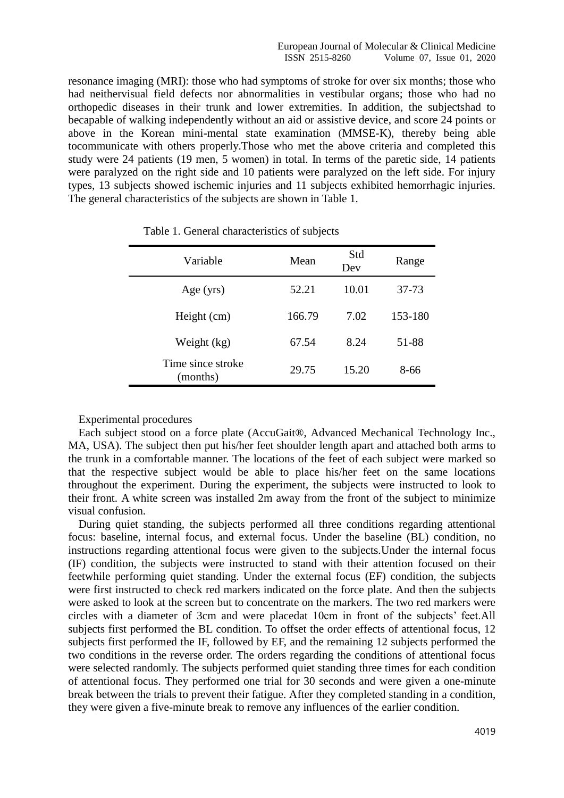resonance imaging (MRI): those who had symptoms of stroke for over six months; those who had neithervisual field defects nor abnormalities in vestibular organs; those who had no orthopedic diseases in their trunk and lower extremities. In addition, the subjectshad to becapable of walking independently without an aid or assistive device, and score 24 points or above in the Korean mini-mental state examination (MMSE-K), thereby being able tocommunicate with others properly.Those who met the above criteria and completed this study were 24 patients (19 men, 5 women) in total. In terms of the paretic side, 14 patients were paralyzed on the right side and 10 patients were paralyzed on the left side. For injury types, 13 subjects showed ischemic injuries and 11 subjects exhibited hemorrhagic injuries. The general characteristics of the subjects are shown in Table 1.

| Variable                      | Mean   | Std<br>Dev | Range   |
|-------------------------------|--------|------------|---------|
| Age $(yrs)$                   | 52.21  | 10.01      | 37-73   |
| Height (cm)                   | 166.79 | 7.02       | 153-180 |
| Weight (kg)                   | 67.54  | 8.24       | 51-88   |
| Time since stroke<br>(months) | 29.75  | 15.20      | 8-66    |

Table 1. General characteristics of subjects

Experimental procedures

Each subject stood on a force plate (AccuGait®, Advanced Mechanical Technology Inc., MA, USA). The subject then put his/her feet shoulder length apart and attached both arms to the trunk in a comfortable manner. The locations of the feet of each subject were marked so that the respective subject would be able to place his/her feet on the same locations throughout the experiment. During the experiment, the subjects were instructed to look to their front. A white screen was installed 2m away from the front of the subject to minimize visual confusion.

During quiet standing, the subjects performed all three conditions regarding attentional focus: baseline, internal focus, and external focus. Under the baseline (BL) condition, no instructions regarding attentional focus were given to the subjects.Under the internal focus (IF) condition, the subjects were instructed to stand with their attention focused on their feetwhile performing quiet standing. Under the external focus (EF) condition, the subjects were first instructed to check red markers indicated on the force plate. And then the subjects were asked to look at the screen but to concentrate on the markers. The two red markers were circles with a diameter of 3cm and were placedat 10cm in front of the subjects' feet.All subjects first performed the BL condition. To offset the order effects of attentional focus, 12 subjects first performed the IF, followed by EF, and the remaining 12 subjects performed the two conditions in the reverse order. The orders regarding the conditions of attentional focus were selected randomly. The subjects performed quiet standing three times for each condition of attentional focus. They performed one trial for 30 seconds and were given a one-minute break between the trials to prevent their fatigue. After they completed standing in a condition, they were given a five-minute break to remove any influences of the earlier condition.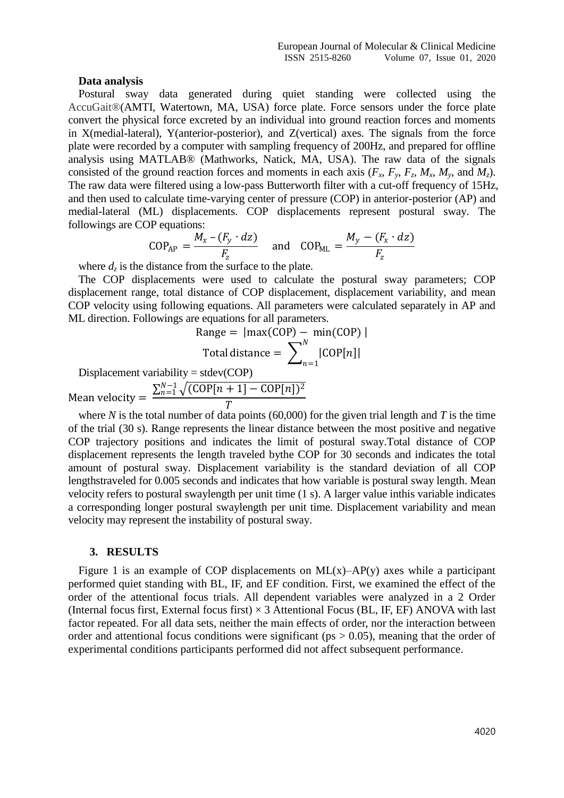#### **Data analysis**

Postural sway data generated during quiet standing were collected using the AccuGait®(AMTI, Watertown, MA, USA) force plate. Force sensors under the force plate convert the physical force excreted by an individual into ground reaction forces and moments in X(medial-lateral), Y(anterior-posterior), and Z(vertical) axes. The signals from the force plate were recorded by a computer with sampling frequency of 200Hz, and prepared for offline analysis using MATLAB® (Mathworks, Natick, MA, USA). The raw data of the signals consisted of the ground reaction forces and moments in each axis  $(F_x, F_y, F_z, M_x, M_y, \text{ and } M_z)$ . The raw data were filtered using a low-pass Butterworth filter with a cut-off frequency of 15Hz, and then used to calculate time-varying center of pressure (COP) in anterior-posterior (AP) and medial-lateral (ML) displacements. COP displacements represent postural sway. The followings are COP equations:

$$
COP_{AP} = \frac{M_x - (F_y \cdot dz)}{F_z} \quad \text{and} \quad COP_{ML} = \frac{M_y - (F_x \cdot dz)}{F_z}
$$

where  $d_z$  is the distance from the surface to the plate.

The COP displacements were used to calculate the postural sway parameters; COP displacement range, total distance of COP displacement, displacement variability, and mean COP velocity using following equations. All parameters were calculated separately in AP and ML direction. Followings are equations for all parameters.

Range = 
$$
|\text{max(COP)} - \text{min(COP)}|
$$
  
Total distance =  $\sum_{n=1}^{N} |\text{COP}[n]|$ 

Displacement variability =  $stack(COP)$ 

Mean velocity =  $\sum_{n=1}^{N-1} \sqrt{(\text{COP}[n+1]-\text{COP}[n])^2}$  $\overline{T}$ 

where  $N$  is the total number of data points (60,000) for the given trial length and  $T$  is the time of the trial (30 s). Range represents the linear distance between the most positive and negative COP trajectory positions and indicates the limit of postural sway.Total distance of COP displacement represents the length traveled bythe COP for 30 seconds and indicates the total amount of postural sway. Displacement variability is the standard deviation of all COP lengthstraveled for 0.005 seconds and indicates that how variable is postural sway length. Mean velocity refers to postural swaylength per unit time (1 s). A larger value inthis variable indicates a corresponding longer postural swaylength per unit time. Displacement variability and mean velocity may represent the instability of postural sway.

#### **3. RESULTS**

Figure 1 is an example of COP displacements on  $ML(x)$ –AP(y) axes while a participant performed quiet standing with BL, IF, and EF condition. First, we examined the effect of the order of the attentional focus trials. All dependent variables were analyzed in a 2 Order (Internal focus first, External focus first)  $\times$  3 Attentional Focus (BL, IF, EF) ANOVA with last factor repeated. For all data sets, neither the main effects of order, nor the interaction between order and attentional focus conditions were significant ( $ps > 0.05$ ), meaning that the order of experimental conditions participants performed did not affect subsequent performance.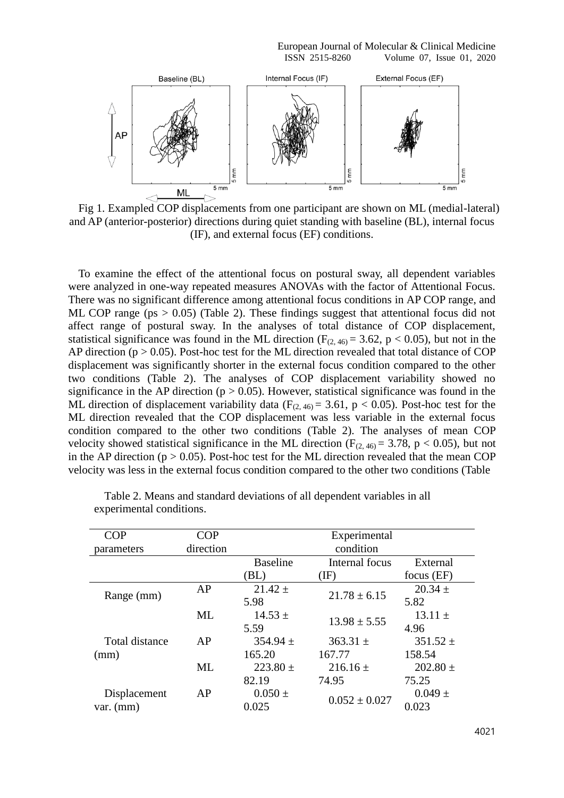European Journal of Molecular & Clinical Medicine ISSN 2515-8260 Volume 07, Issue 01, 2020



Fig 1. Exampled COP displacements from one participant are shown on ML (medial-lateral) and AP (anterior-posterior) directions during quiet standing with baseline (BL), internal focus (IF), and external focus (EF) conditions.

To examine the effect of the attentional focus on postural sway, all dependent variables were analyzed in one-way repeated measures ANOVAs with the factor of Attentional Focus. There was no significant difference among attentional focus conditions in AP COP range, and ML COP range ( $ps > 0.05$ ) (Table 2). These findings suggest that attentional focus did not affect range of postural sway. In the analyses of total distance of COP displacement, statistical significance was found in the ML direction ( $F_{(2, 46)} = 3.62$ , p < 0.05), but not in the AP direction ( $p > 0.05$ ). Post-hoc test for the ML direction revealed that total distance of COP displacement was significantly shorter in the external focus condition compared to the other two conditions (Table 2). The analyses of COP displacement variability showed no significance in the AP direction ( $p > 0.05$ ). However, statistical significance was found in the ML direction of displacement variability data ( $F_{(2, 46)} = 3.61$ , p < 0.05). Post-hoc test for the ML direction revealed that the COP displacement was less variable in the external focus condition compared to the other two conditions (Table 2). The analyses of mean COP velocity showed statistical significance in the ML direction ( $F_{(2, 46)} = 3.78$ , p < 0.05), but not in the AP direction ( $p > 0.05$ ). Post-hoc test for the ML direction revealed that the mean COP velocity was less in the external focus condition compared to the other two conditions (Table

| <b>COP</b>     | COP       | Experimental    |                   |              |  |
|----------------|-----------|-----------------|-------------------|--------------|--|
| parameters     | direction | condition       |                   |              |  |
|                |           | <b>Baseline</b> | Internal focus    | External     |  |
|                |           | (BL)            | (IF)              | focus $(EF)$ |  |
| Range (mm)     | AP        | $21.42 \pm$     | $21.78 \pm 6.15$  | $20.34 \pm$  |  |
|                |           | 5.98            |                   | 5.82         |  |
|                | ML        | $14.53 \pm$     | $13.98 \pm 5.55$  | $13.11 \pm$  |  |
|                |           | 5.59            |                   | 4.96         |  |
| Total distance | AP        | $354.94 \pm$    | $363.31 \pm$      | $351.52 \pm$ |  |
| (mm)           |           | 165.20          | 167.77            | 158.54       |  |
|                | ML        | $223.80 \pm$    | $216.16 \pm$      | $202.80 \pm$ |  |
|                |           | 82.19           | 74.95             | 75.25        |  |
| Displacement   | AP        | $0.050 \pm$     |                   | $0.049 \pm$  |  |
| $var.$ (mm)    |           | 0.025           | $0.052 \pm 0.027$ | 0.023        |  |

Table 2. Means and standard deviations of all dependent variables in all experimental conditions.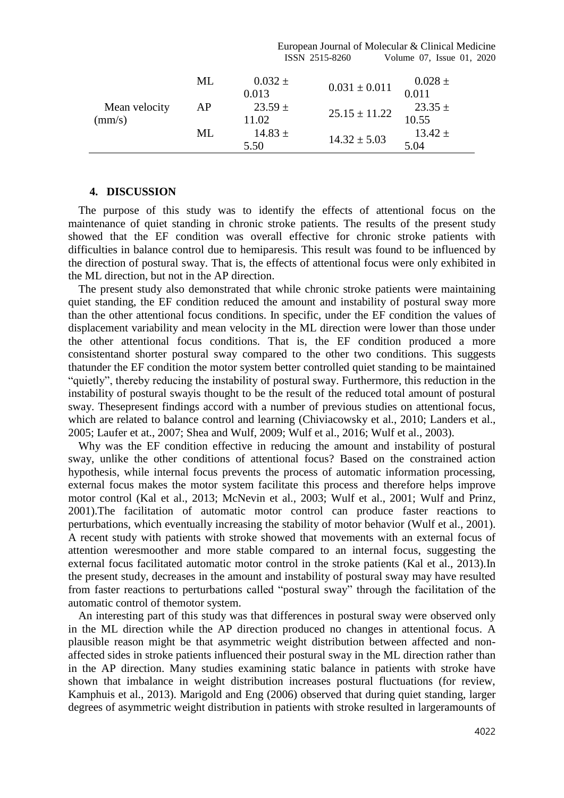|                                  |    |                      | ISSN 2515-8260    | Volume 07, Issue 01, 2020 |  |
|----------------------------------|----|----------------------|-------------------|---------------------------|--|
|                                  | ML | $0.032 \pm$<br>0.013 | $0.031 \pm 0.011$ | $0.028 \pm$<br>0.011      |  |
| Mean velocity<br>$\text{(mm/s)}$ | AP | $23.59 \pm$<br>11.02 | $25.15 \pm 11.22$ | $23.35 \pm$<br>10.55      |  |
|                                  | ML | $14.83 \pm$<br>5.50  | $14.32 \pm 5.03$  | $13.42 \pm$<br>5.04       |  |

European Journal of Molecular & Clinical Medicine

#### **4. DISCUSSION**

The purpose of this study was to identify the effects of attentional focus on the maintenance of quiet standing in chronic stroke patients. The results of the present study showed that the EF condition was overall effective for chronic stroke patients with difficulties in balance control due to hemiparesis. This result was found to be influenced by the direction of postural sway. That is, the effects of attentional focus were only exhibited in the ML direction, but not in the AP direction.

The present study also demonstrated that while chronic stroke patients were maintaining quiet standing, the EF condition reduced the amount and instability of postural sway more than the other attentional focus conditions. In specific, under the EF condition the values of displacement variability and mean velocity in the ML direction were lower than those under the other attentional focus conditions. That is, the EF condition produced a more consistentand shorter postural sway compared to the other two conditions. This suggests thatunder the EF condition the motor system better controlled quiet standing to be maintained "quietly", thereby reducing the instability of postural sway. Furthermore, this reduction in the instability of postural swayis thought to be the result of the reduced total amount of postural sway. Thesepresent findings accord with a number of previous studies on attentional focus, which are related to balance control and learning (Chiviacowsky et al., 2010; Landers et al., 2005; Laufer et at., 2007; Shea and Wulf, 2009; Wulf et al., 2016; Wulf et al., 2003).

Why was the EF condition effective in reducing the amount and instability of postural sway, unlike the other conditions of attentional focus? Based on the constrained action hypothesis, while internal focus prevents the process of automatic information processing, external focus makes the motor system facilitate this process and therefore helps improve motor control (Kal et al., 2013; McNevin et al., 2003; Wulf et al., 2001; Wulf and Prinz, 2001).The facilitation of automatic motor control can produce faster reactions to perturbations, which eventually increasing the stability of motor behavior (Wulf et al., 2001). A recent study with patients with stroke showed that movements with an external focus of attention weresmoother and more stable compared to an internal focus, suggesting the external focus facilitated automatic motor control in the stroke patients (Kal et al., 2013).In the present study, decreases in the amount and instability of postural sway may have resulted from faster reactions to perturbations called "postural sway" through the facilitation of the automatic control of themotor system.

An interesting part of this study was that differences in postural sway were observed only in the ML direction while the AP direction produced no changes in attentional focus. A plausible reason might be that asymmetric weight distribution between affected and nonaffected sides in stroke patients influenced their postural sway in the ML direction rather than in the AP direction. Many studies examining static balance in patients with stroke have shown that imbalance in weight distribution increases postural fluctuations (for review, Kamphuis et al., 2013). Marigold and Eng (2006) observed that during quiet standing, larger degrees of asymmetric weight distribution in patients with stroke resulted in largeramounts of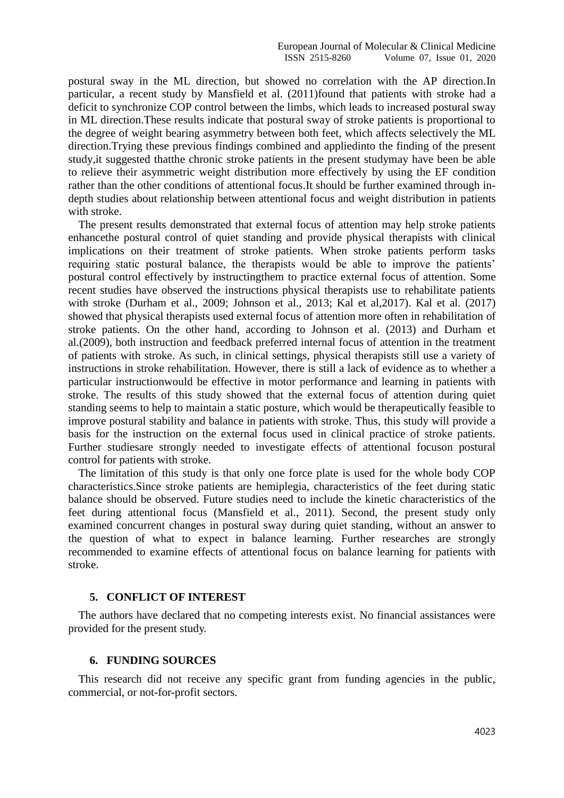postural sway in the ML direction, but showed no correlation with the AP direction.In particular, a recent study by Mansfield et al. (2011)found that patients with stroke had a deficit to synchronize COP control between the limbs, which leads to increased postural sway in ML direction.These results indicate that postural sway of stroke patients is proportional to the degree of weight bearing asymmetry between both feet, which affects selectively the ML direction.Trying these previous findings combined and appliedinto the finding of the present study,it suggested thatthe chronic stroke patients in the present studymay have been be able to relieve their asymmetric weight distribution more effectively by using the EF condition rather than the other conditions of attentional focus.It should be further examined through indepth studies about relationship between attentional focus and weight distribution in patients with stroke.

The present results demonstrated that external focus of attention may help stroke patients enhancethe postural control of quiet standing and provide physical therapists with clinical implications on their treatment of stroke patients. When stroke patients perform tasks requiring static postural balance, the therapists would be able to improve the patients' postural control effectively by instructingthem to practice external focus of attention. Some recent studies have observed the instructions physical therapists use to rehabilitate patients with stroke (Durham et al., 2009; Johnson et al., 2013; Kal et al,2017). Kal et al. (2017) showed that physical therapists used external focus of attention more often in rehabilitation of stroke patients. On the other hand, according to Johnson et al. (2013) and Durham et al.(2009), both instruction and feedback preferred internal focus of attention in the treatment of patients with stroke. As such, in clinical settings, physical therapists still use a variety of instructions in stroke rehabilitation. However, there is still a lack of evidence as to whether a particular instructionwould be effective in motor performance and learning in patients with stroke. The results of this study showed that the external focus of attention during quiet standing seems to help to maintain a static posture, which would be therapeutically feasible to improve postural stability and balance in patients with stroke. Thus, this study will provide a basis for the instruction on the external focus used in clinical practice of stroke patients. Further studiesare strongly needed to investigate effects of attentional focuson postural control for patients with stroke.

The limitation of this study is that only one force plate is used for the whole body COP characteristics.Since stroke patients are hemiplegia, characteristics of the feet during static balance should be observed. Future studies need to include the kinetic characteristics of the feet during attentional focus (Mansfield et al., 2011). Second, the present study only examined concurrent changes in postural sway during quiet standing, without an answer to the question of what to expect in balance learning. Further researches are strongly recommended to examine effects of attentional focus on balance learning for patients with stroke.

## **5. CONFLICT OF INTEREST**

The authors have declared that no competing interests exist. No financial assistances were provided for the present study.

## **6. FUNDING SOURCES**

This research did not receive any specific grant from funding agencies in the public, commercial, or not-for-profit sectors.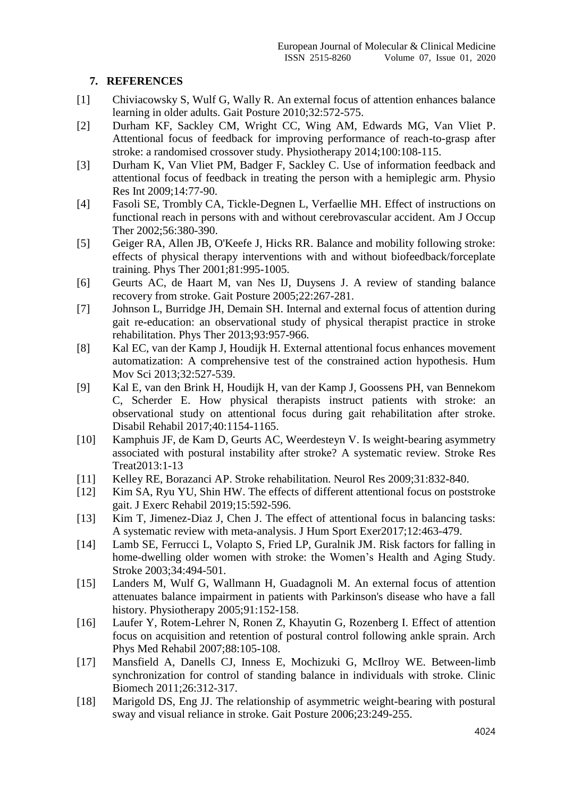## **7. REFERENCES**

- [1] Chiviacowsky S, Wulf G, Wally R. An external focus of attention enhances balance learning in older adults. Gait Posture 2010;32:572-575.
- [2] Durham KF, Sackley CM, Wright CC, Wing AM, Edwards MG, Van Vliet P. Attentional focus of feedback for improving performance of reach-to-grasp after stroke: a randomised crossover study. Physiotherapy 2014;100:108-115.
- [3] Durham K, Van Vliet PM, Badger F, Sackley C. Use of information feedback and attentional focus of feedback in treating the person with a hemiplegic arm. Physio Res Int 2009;14:77-90.
- [4] Fasoli SE, Trombly CA, Tickle-Degnen L, Verfaellie MH. Effect of instructions on functional reach in persons with and without cerebrovascular accident. Am J Occup Ther 2002;56:380-390.
- [5] Geiger RA, Allen JB, O'Keefe J, Hicks RR. Balance and mobility following stroke: effects of physical therapy interventions with and without biofeedback/forceplate training. Phys Ther 2001;81:995-1005.
- [6] Geurts AC, de Haart M, van Nes IJ, Duysens J. A review of standing balance recovery from stroke. Gait Posture 2005;22:267-281.
- [7] Johnson L, Burridge JH, Demain SH. Internal and external focus of attention during gait re-education: an observational study of physical therapist practice in stroke rehabilitation. Phys Ther 2013;93:957-966.
- [8] Kal EC, van der Kamp J, Houdijk H. External attentional focus enhances movement automatization: A comprehensive test of the constrained action hypothesis. Hum Mov Sci 2013;32:527-539.
- [9] Kal E, van den Brink H, Houdijk H, van der Kamp J, Goossens PH, van Bennekom C, Scherder E. How physical therapists instruct patients with stroke: an observational study on attentional focus during gait rehabilitation after stroke. Disabil Rehabil 2017;40:1154-1165.
- [10] Kamphuis JF, de Kam D, Geurts AC, Weerdesteyn V. Is weight-bearing asymmetry associated with postural instability after stroke? A systematic review. Stroke Res Treat2013:1-13
- [11] Kelley RE, Borazanci AP. Stroke rehabilitation. Neurol Res 2009;31:832-840.
- [12] Kim SA, Ryu YU, Shin HW. The effects of different attentional focus on poststroke gait. J Exerc Rehabil 2019;15:592-596.
- [13] Kim T, Jimenez-Diaz J, Chen J. The effect of attentional focus in balancing tasks: A systematic review with meta-analysis. J Hum Sport Exer2017;12:463-479.
- [14] Lamb SE, Ferrucci L, Volapto S, Fried LP, Guralnik JM. Risk factors for falling in home-dwelling older women with stroke: the Women's Health and Aging Study. Stroke 2003;34:494-501.
- [15] Landers M, Wulf G, Wallmann H, Guadagnoli M. An external focus of attention attenuates balance impairment in patients with Parkinson's disease who have a fall history. Physiotherapy 2005;91:152-158.
- [16] Laufer Y, Rotem-Lehrer N, Ronen Z, Khayutin G, Rozenberg I. Effect of attention focus on acquisition and retention of postural control following ankle sprain. Arch Phys Med Rehabil 2007;88:105-108.
- [17] Mansfield A, Danells CJ, Inness E, Mochizuki G, McIlroy WE. Between-limb synchronization for control of standing balance in individuals with stroke. Clinic Biomech 2011;26:312-317.
- [18] Marigold DS, Eng JJ. The relationship of asymmetric weight-bearing with postural sway and visual reliance in stroke. Gait Posture 2006;23:249-255.